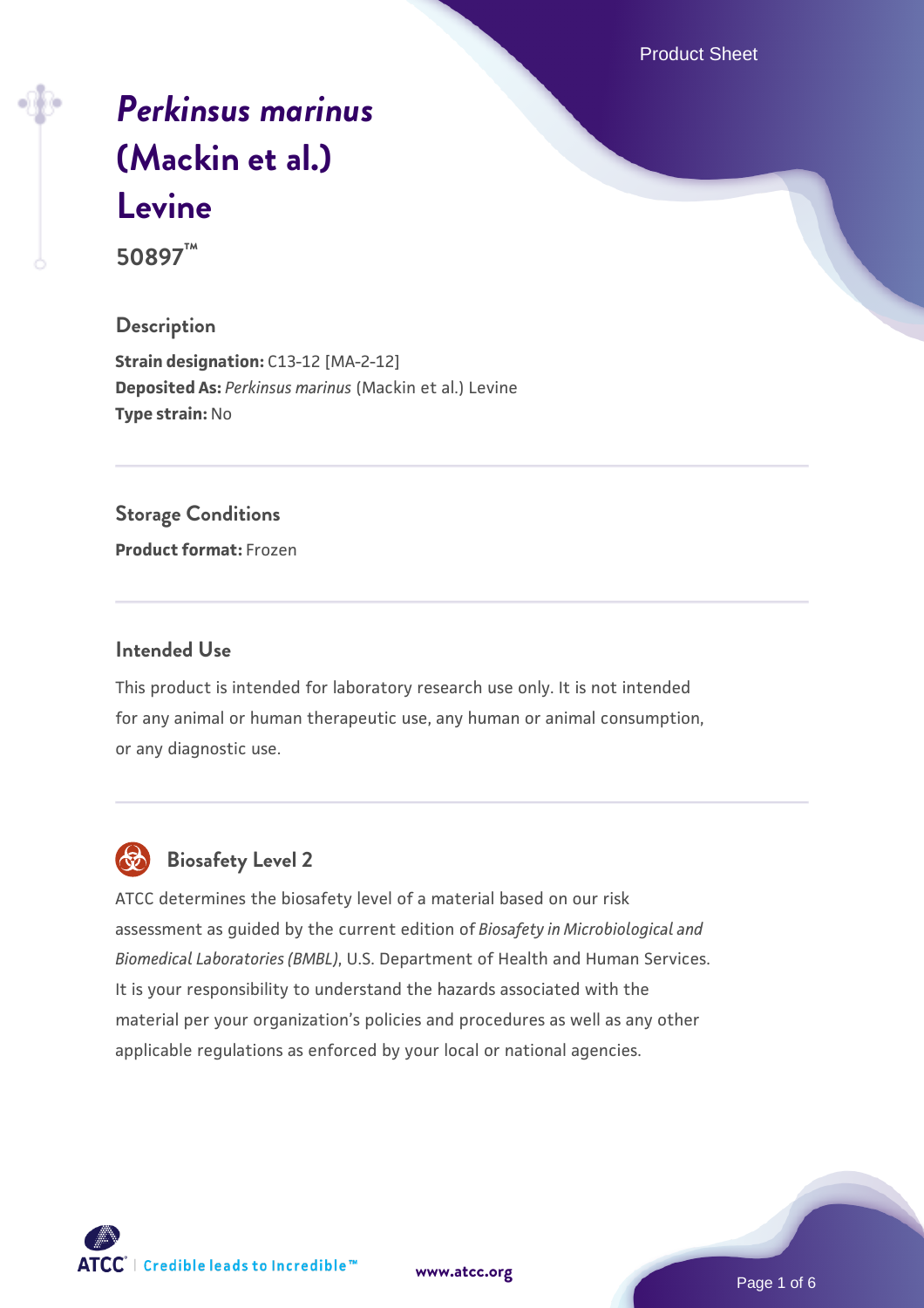Product Sheet

# *[Perkinsus marinus](https://www.atcc.org/products/50897)* **[\(Mackin et al.\)](https://www.atcc.org/products/50897) [Levine](https://www.atcc.org/products/50897)**

**50897™**

# **Description**

**Strain designation: C13-12 [MA-2-12] Deposited As:** *Perkinsus marinus* (Mackin et al.) Levine **Type strain:** No

# **Storage Conditions**

**Product format:** Frozen

# **Intended Use**

This product is intended for laboratory research use only. It is not intended for any animal or human therapeutic use, any human or animal consumption, or any diagnostic use.



# **Biosafety Level 2**

ATCC determines the biosafety level of a material based on our risk assessment as guided by the current edition of *Biosafety in Microbiological and Biomedical Laboratories (BMBL)*, U.S. Department of Health and Human Services. It is your responsibility to understand the hazards associated with the material per your organization's policies and procedures as well as any other applicable regulations as enforced by your local or national agencies.

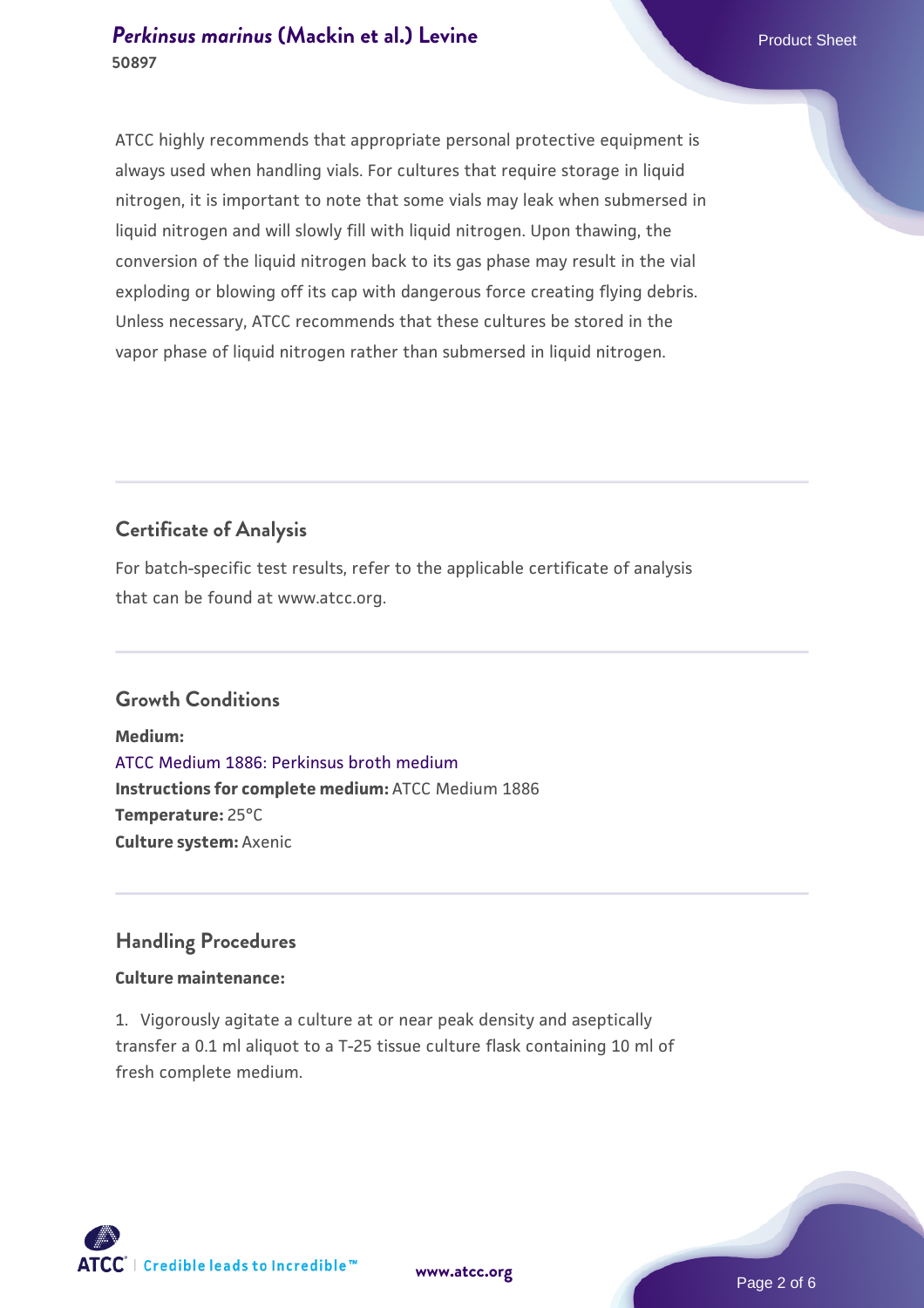# **[Perkinsus marinus](https://www.atcc.org/products/50897) [\(Mackin et al.\) Levine](https://www.atcc.org/products/50897)** Product Sheet **50897**

ATCC highly recommends that appropriate personal protective equipment is always used when handling vials. For cultures that require storage in liquid nitrogen, it is important to note that some vials may leak when submersed in liquid nitrogen and will slowly fill with liquid nitrogen. Upon thawing, the conversion of the liquid nitrogen back to its gas phase may result in the vial exploding or blowing off its cap with dangerous force creating flying debris. Unless necessary, ATCC recommends that these cultures be stored in the vapor phase of liquid nitrogen rather than submersed in liquid nitrogen.

# **Certificate of Analysis**

For batch-specific test results, refer to the applicable certificate of analysis that can be found at www.atcc.org.

# **Growth Conditions**

**Medium:**  [ATCC Medium 1886: Perkinsus broth medium](https://www.atcc.org/-/media/product-assets/documents/microbial-media-formulations/atcc-medium-1886.pdf?rev=3f191fd8ade443aca9e8e4826432baa3) **Instructions for complete medium:** ATCC Medium 1886 **Temperature:** 25°C **Culture system:** Axenic

# **Handling Procedures**

# **Culture maintenance:**

1. Vigorously agitate a culture at or near peak density and aseptically transfer a 0.1 ml aliquot to a T-25 tissue culture flask containing 10 ml of fresh complete medium.

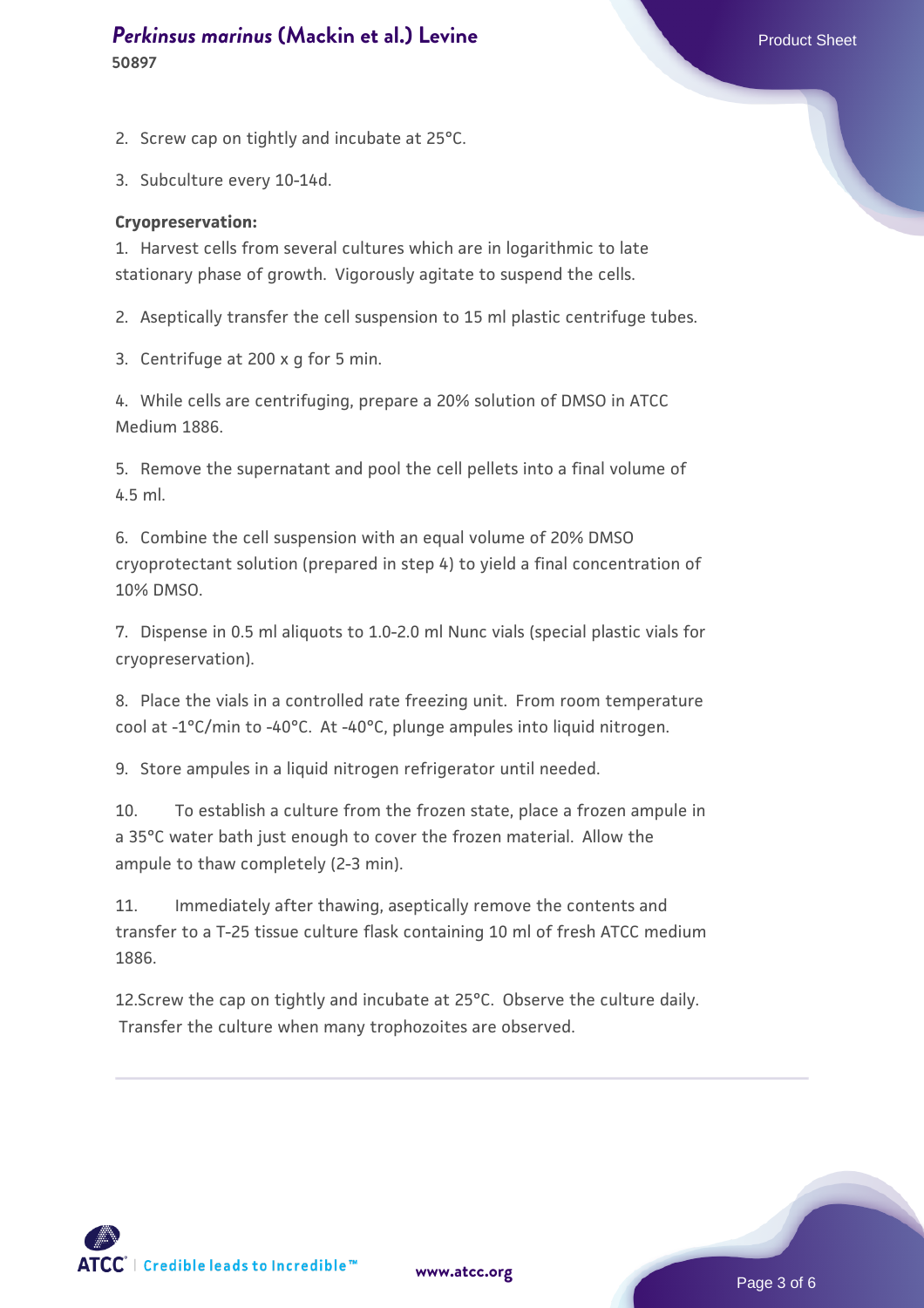# **[Perkinsus marinus](https://www.atcc.org/products/50897) [\(Mackin et al.\) Levine](https://www.atcc.org/products/50897)** Product Sheet **50897**

2. Screw cap on tightly and incubate at 25°C.

3. Subculture every 10-14d.

#### **Cryopreservation:**

1. Harvest cells from several cultures which are in logarithmic to late stationary phase of growth. Vigorously agitate to suspend the cells.

2. Aseptically transfer the cell suspension to 15 ml plastic centrifuge tubes.

3. Centrifuge at 200 x g for 5 min.

4. While cells are centrifuging, prepare a 20% solution of DMSO in ATCC Medium 1886.

5. Remove the supernatant and pool the cell pellets into a final volume of 4.5 ml.

6. Combine the cell suspension with an equal volume of 20% DMSO cryoprotectant solution (prepared in step 4) to yield a final concentration of 10% DMSO.

7. Dispense in 0.5 ml aliquots to 1.0-2.0 ml Nunc vials (special plastic vials for cryopreservation).

8. Place the vials in a controlled rate freezing unit. From room temperature cool at -1°C/min to -40°C. At -40°C, plunge ampules into liquid nitrogen.

9. Store ampules in a liquid nitrogen refrigerator until needed.

10. To establish a culture from the frozen state, place a frozen ampule in a 35°C water bath just enough to cover the frozen material. Allow the ampule to thaw completely (2-3 min).

11. Immediately after thawing, aseptically remove the contents and transfer to a T-25 tissue culture flask containing 10 ml of fresh ATCC medium 1886.

12.Screw the cap on tightly and incubate at 25°C. Observe the culture daily. Transfer the culture when many trophozoites are observed.

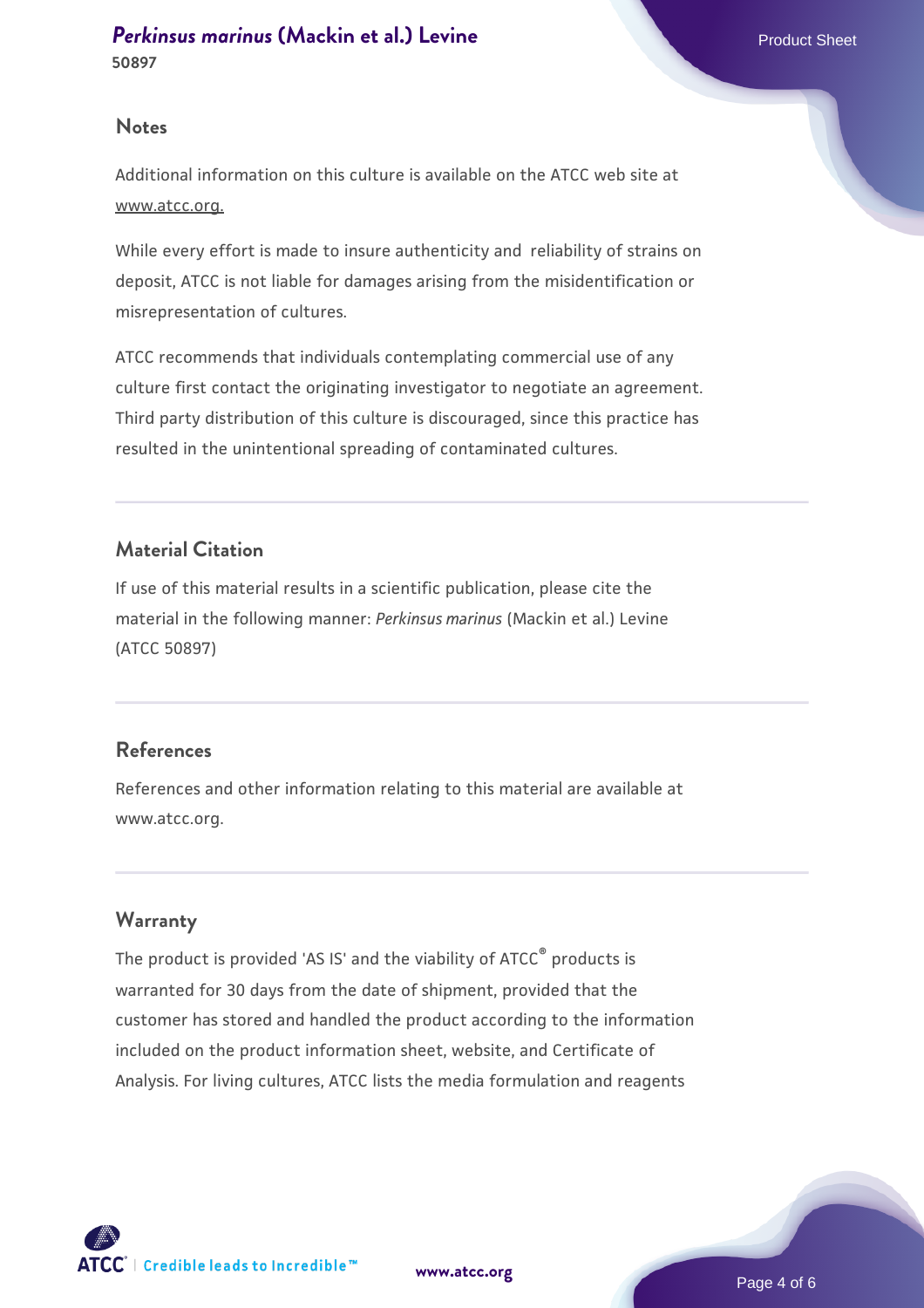### **Notes**

Additional information on this culture is available on the ATCC web site at www.atcc.org.

While every effort is made to insure authenticity and reliability of strains on deposit, ATCC is not liable for damages arising from the misidentification or misrepresentation of cultures.

ATCC recommends that individuals contemplating commercial use of any culture first contact the originating investigator to negotiate an agreement. Third party distribution of this culture is discouraged, since this practice has resulted in the unintentional spreading of contaminated cultures.

# **Material Citation**

If use of this material results in a scientific publication, please cite the material in the following manner: *Perkinsus marinus* (Mackin et al.) Levine (ATCC 50897)

# **References**

References and other information relating to this material are available at www.atcc.org.

# **Warranty**

The product is provided 'AS IS' and the viability of ATCC® products is warranted for 30 days from the date of shipment, provided that the customer has stored and handled the product according to the information included on the product information sheet, website, and Certificate of Analysis. For living cultures, ATCC lists the media formulation and reagents

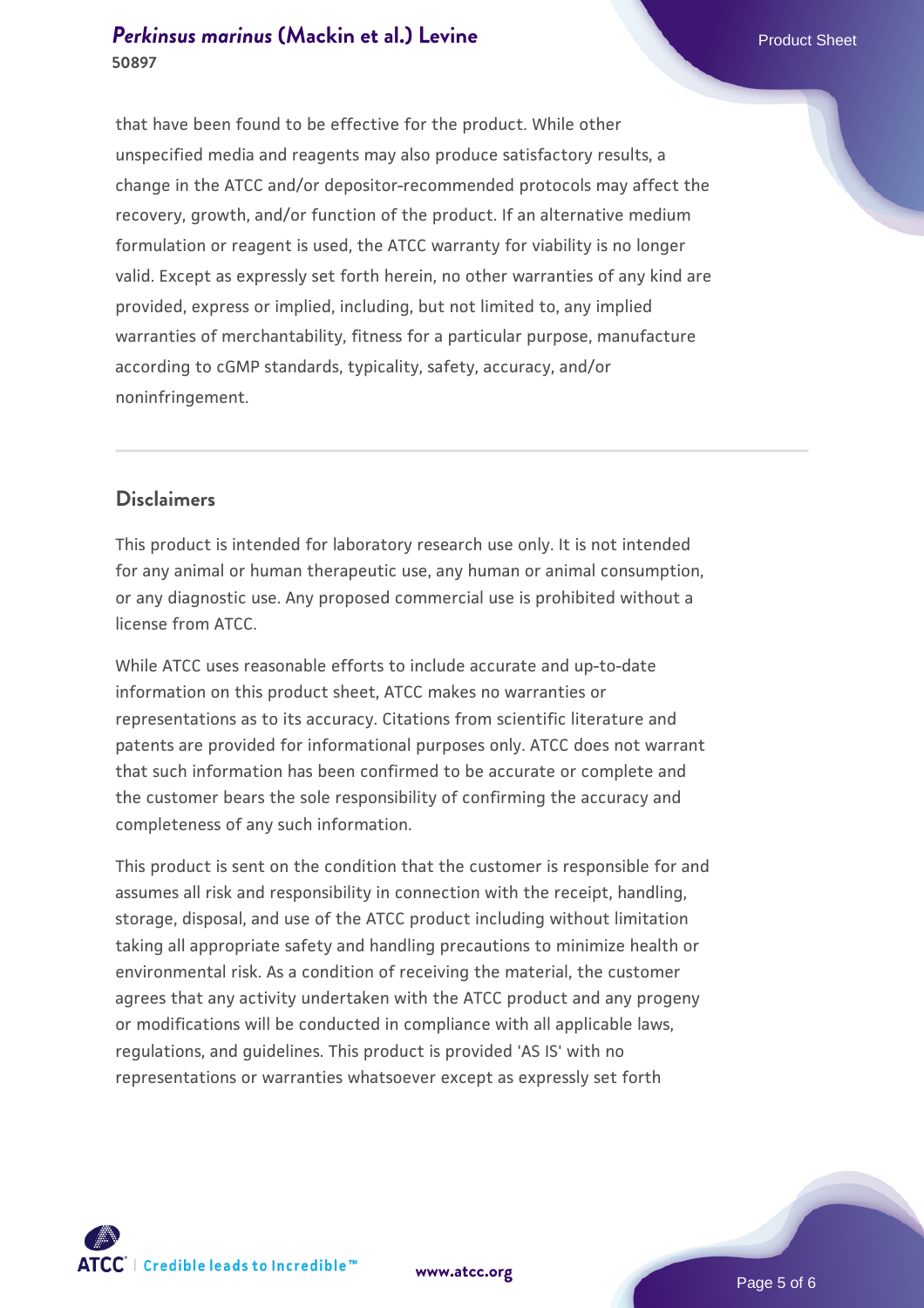# **[Perkinsus marinus](https://www.atcc.org/products/50897) [\(Mackin et al.\) Levine](https://www.atcc.org/products/50897)** Product Sheet **50897**

that have been found to be effective for the product. While other unspecified media and reagents may also produce satisfactory results, a change in the ATCC and/or depositor-recommended protocols may affect the recovery, growth, and/or function of the product. If an alternative medium formulation or reagent is used, the ATCC warranty for viability is no longer valid. Except as expressly set forth herein, no other warranties of any kind are provided, express or implied, including, but not limited to, any implied warranties of merchantability, fitness for a particular purpose, manufacture according to cGMP standards, typicality, safety, accuracy, and/or noninfringement.

# **Disclaimers**

This product is intended for laboratory research use only. It is not intended for any animal or human therapeutic use, any human or animal consumption, or any diagnostic use. Any proposed commercial use is prohibited without a license from ATCC.

While ATCC uses reasonable efforts to include accurate and up-to-date information on this product sheet, ATCC makes no warranties or representations as to its accuracy. Citations from scientific literature and patents are provided for informational purposes only. ATCC does not warrant that such information has been confirmed to be accurate or complete and the customer bears the sole responsibility of confirming the accuracy and completeness of any such information.

This product is sent on the condition that the customer is responsible for and assumes all risk and responsibility in connection with the receipt, handling, storage, disposal, and use of the ATCC product including without limitation taking all appropriate safety and handling precautions to minimize health or environmental risk. As a condition of receiving the material, the customer agrees that any activity undertaken with the ATCC product and any progeny or modifications will be conducted in compliance with all applicable laws, regulations, and guidelines. This product is provided 'AS IS' with no representations or warranties whatsoever except as expressly set forth



**[www.atcc.org](http://www.atcc.org)**

Page 5 of 6